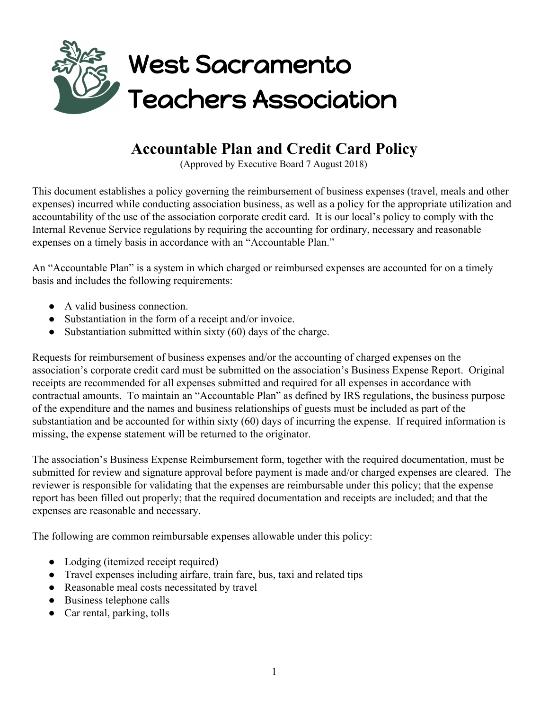

## **Accountable Plan and Credit Card Policy**

(Approved by Executive Board 7 August 2018)

This document establishes a policy governing the reimbursement of business expenses (travel, meals and other expenses) incurred while conducting association business, as well as a policy for the appropriate utilization and accountability of the use of the association corporate credit card. It is our local's policy to comply with the Internal Revenue Service regulations by requiring the accounting for ordinary, necessary and reasonable expenses on a timely basis in accordance with an "Accountable Plan."

An "Accountable Plan" is a system in which charged or reimbursed expenses are accounted for on a timely basis and includes the following requirements:

- A valid business connection.
- Substantiation in the form of a receipt and/or invoice.
- Substantiation submitted within sixty  $(60)$  days of the charge.

Requests for reimbursement of business expenses and/or the accounting of charged expenses on the association's corporate credit card must be submitted on the association's Business Expense Report. Original receipts are recommended for all expenses submitted and required for all expenses in accordance with contractual amounts. To maintain an "Accountable Plan" as defined by IRS regulations, the business purpose of the expenditure and the names and business relationships of guests must be included as part of the substantiation and be accounted for within sixty (60) days of incurring the expense. If required information is missing, the expense statement will be returned to the originator.

The association's Business Expense Reimbursement form, together with the required documentation, must be submitted for review and signature approval before payment is made and/or charged expenses are cleared. The reviewer is responsible for validating that the expenses are reimbursable under this policy; that the expense report has been filled out properly; that the required documentation and receipts are included; and that the expenses are reasonable and necessary.

The following are common reimbursable expenses allowable under this policy:

- Lodging (itemized receipt required)
- Travel expenses including airfare, train fare, bus, taxi and related tips
- Reasonable meal costs necessitated by travel
- Business telephone calls
- Car rental, parking, tolls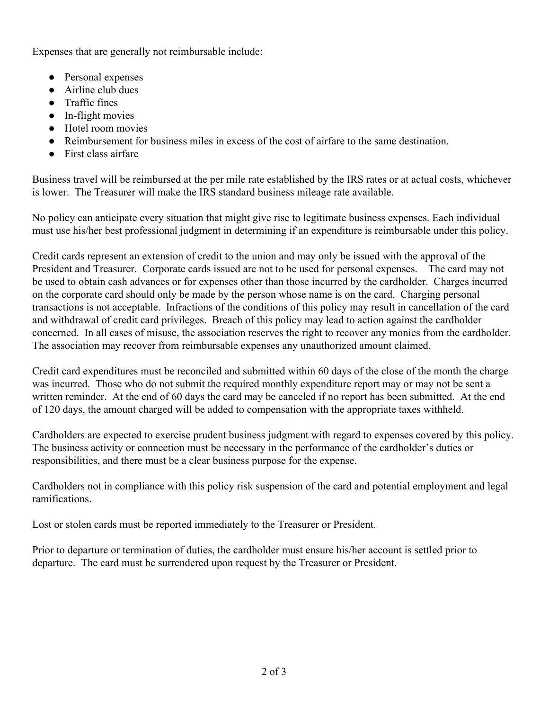Expenses that are generally not reimbursable include:

- Personal expenses
- Airline club dues
- Traffic fines
- In-flight movies
- Hotel room movies
- Reimbursement for business miles in excess of the cost of airfare to the same destination.
- First class airfare

Business travel will be reimbursed at the per mile rate established by the IRS rates or at actual costs, whichever is lower. The Treasurer will make the IRS standard business mileage rate available.

No policy can anticipate every situation that might give rise to legitimate business expenses. Each individual must use his/her best professional judgment in determining if an expenditure is reimbursable under this policy.

Credit cards represent an extension of credit to the union and may only be issued with the approval of the President and Treasurer. Corporate cards issued are not to be used for personal expenses. The card may not be used to obtain cash advances or for expenses other than those incurred by the cardholder. Charges incurred on the corporate card should only be made by the person whose name is on the card. Charging personal transactions is not acceptable. Infractions of the conditions of this policy may result in cancellation of the card and withdrawal of credit card privileges. Breach of this policy may lead to action against the cardholder concerned. In all cases of misuse, the association reserves the right to recover any monies from the cardholder. The association may recover from reimbursable expenses any unauthorized amount claimed.

Credit card expenditures must be reconciled and submitted within 60 days of the close of the month the charge was incurred. Those who do not submit the required monthly expenditure report may or may not be sent a written reminder. At the end of 60 days the card may be canceled if no report has been submitted. At the end of 120 days, the amount charged will be added to compensation with the appropriate taxes withheld.

Cardholders are expected to exercise prudent business judgment with regard to expenses covered by this policy. The business activity or connection must be necessary in the performance of the cardholder's duties or responsibilities, and there must be a clear business purpose for the expense.

Cardholders not in compliance with this policy risk suspension of the card and potential employment and legal ramifications.

Lost or stolen cards must be reported immediately to the Treasurer or President.

Prior to departure or termination of duties, the cardholder must ensure his/her account is settled prior to departure. The card must be surrendered upon request by the Treasurer or President.